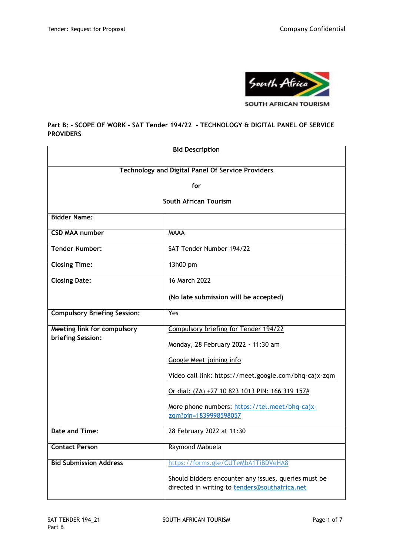

## **Part B: - SCOPE OF WORK - SAT Tender 194/22 - TECHNOLOGY & DIGITAL PANEL OF SERVICE PROVIDERS**

| <b>Bid Description</b>                                   |                                                                                                        |  |
|----------------------------------------------------------|--------------------------------------------------------------------------------------------------------|--|
|                                                          |                                                                                                        |  |
| <b>Technology and Digital Panel Of Service Providers</b> |                                                                                                        |  |
| for                                                      |                                                                                                        |  |
| <b>South African Tourism</b>                             |                                                                                                        |  |
| <b>Bidder Name:</b>                                      |                                                                                                        |  |
| <b>CSD MAA number</b>                                    | <b>MAAA</b>                                                                                            |  |
| <b>Tender Number:</b>                                    | SAT Tender Number 194/22                                                                               |  |
| <b>Closing Time:</b>                                     | 13h00 pm                                                                                               |  |
| <b>Closing Date:</b>                                     | 16 March 2022                                                                                          |  |
|                                                          | (No late submission will be accepted)                                                                  |  |
| <b>Compulsory Briefing Session:</b>                      | Yes                                                                                                    |  |
| <b>Meeting link for compulsory</b>                       | Compulsory briefing for Tender 194/22                                                                  |  |
| briefing Session:                                        | Monday, 28 February 2022 · 11:30 am                                                                    |  |
|                                                          | Google Meet joining info                                                                               |  |
|                                                          | Video call link: https://meet.google.com/bhq-cajx-zqm                                                  |  |
|                                                          | Or dial: (ZA) +27 10 823 1013 PIN: 166 319 157#                                                        |  |
|                                                          | More phone numbers: https://tel.meet/bhq-cajx-                                                         |  |
|                                                          | zqm?pin=1839998598057                                                                                  |  |
| Date and Time:                                           | 28 February 2022 at 11:30                                                                              |  |
| <b>Contact Person</b>                                    | Raymond Mabuela                                                                                        |  |
| <b>Bid Submission Address</b>                            | https://forms.gle/CUTeMbA1TiBDVeHA8                                                                    |  |
|                                                          | Should bidders encounter any issues, queries must be<br>directed in writing to tenders@southafrica.net |  |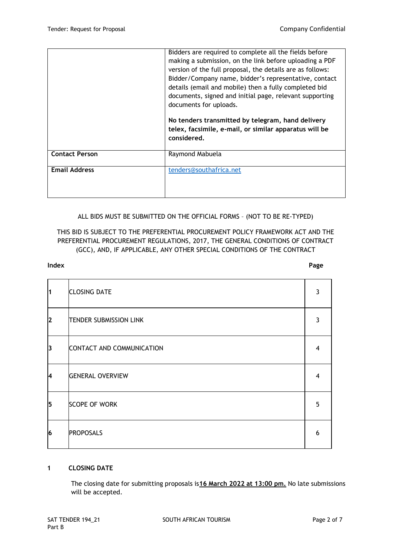|                       | Bidders are required to complete all the fields before<br>making a submission, on the link before uploading a PDF<br>version of the full proposal, the details are as follows:<br>Bidder/Company name, bidder's representative, contact<br>details (email and mobile) then a fully completed bid<br>documents, signed and initial page, relevant supporting<br>documents for uploads.<br>No tenders transmitted by telegram, hand delivery<br>telex, facsimile, e-mail, or similar apparatus will be<br>considered. |
|-----------------------|---------------------------------------------------------------------------------------------------------------------------------------------------------------------------------------------------------------------------------------------------------------------------------------------------------------------------------------------------------------------------------------------------------------------------------------------------------------------------------------------------------------------|
| <b>Contact Person</b> | Raymond Mabuela                                                                                                                                                                                                                                                                                                                                                                                                                                                                                                     |
| <b>Email Address</b>  | tenders@southafrica.net                                                                                                                                                                                                                                                                                                                                                                                                                                                                                             |

## ALL BIDS MUST BE SUBMITTED ON THE OFFICIAL FORMS – (NOT TO BE RE-TYPED)

# THIS BID IS SUBJECT TO THE PREFERENTIAL PROCUREMENT POLICY FRAMEWORK ACT AND THE PREFERENTIAL PROCUREMENT REGULATIONS, 2017, THE GENERAL CONDITIONS OF CONTRACT (GCC), AND, IF APPLICABLE, ANY OTHER SPECIAL CONDITIONS OF THE CONTRACT

#### **Index Page**

| $\overline{\mathbf{1}}$ | <b>CLOSING DATE</b>           | 3 |
|-------------------------|-------------------------------|---|
| 2                       | <b>TENDER SUBMISSION LINK</b> | 3 |
| 3                       | CONTACT AND COMMUNICATION     | 4 |
| <sup>4</sup>            | <b>GENERAL OVERVIEW</b>       | 4 |
| 5                       | <b>SCOPE OF WORK</b>          | 5 |
| 6                       | <b>PROPOSALS</b>              | 6 |

## **1 CLOSING DATE**

The closing date for submitting proposals is**16 March 2022 at 13:00 pm.** No late submissions will be accepted.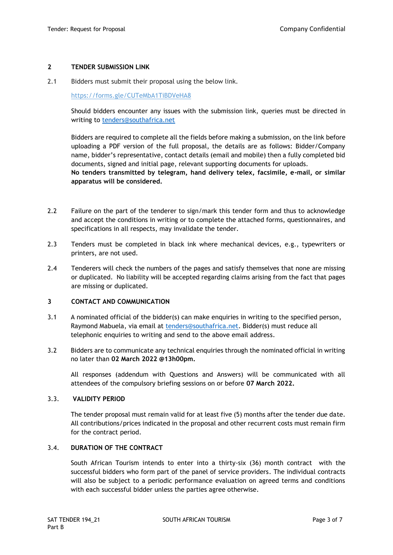## **2 TENDER SUBMISSION LINK**

2.1 Bidders must submit their proposal using the below link.

https://forms.gle/CUTeMbA1TiBDVeHA8

Should bidders encounter any issues with the submission link, queries must be directed in writing to [tenders@southafrica.net](mailto:tenders@southafrica.net)

Bidders are required to complete all the fields before making a submission, on the link before uploading a PDF version of the full proposal, the details are as follows: Bidder/Company name, bidder's representative, contact details (email and mobile) then a fully completed bid documents, signed and initial page, relevant supporting documents for uploads.

**No tenders transmitted by telegram, hand delivery telex, facsimile, e-mail, or similar apparatus will be considered.**

- 2.2 Failure on the part of the tenderer to sign/mark this tender form and thus to acknowledge and accept the conditions in writing or to complete the attached forms, questionnaires, and specifications in all respects, may invalidate the tender.
- 2.3 Tenders must be completed in black ink where mechanical devices, e.g., typewriters or printers, are not used.
- 2.4 Tenderers will check the numbers of the pages and satisfy themselves that none are missing or duplicated. No liability will be accepted regarding claims arising from the fact that pages are missing or duplicated.

#### **3 CONTACT AND COMMUNICATION**

- 3.1 A nominated official of the bidder(s) can make enquiries in writing to the specified person, Raymond Mabuela, via email at [tenders@southafrica.net.](mailto:tenders@southafrica.net) Bidder(s) must reduce all telephonic enquiries to writing and send to the above email address.
- 3.2 Bidders are to communicate any technical enquiries through the nominated official in writing no later than **02 March 2022 @13h00pm.**

All responses (addendum with Questions and Answers) will be communicated with all attendees of the compulsory briefing sessions on or before **07 March 2022.**

#### 3.3. **VALIDITY PERIOD**

The tender proposal must remain valid for at least five (5) months after the tender due date. All contributions/prices indicated in the proposal and other recurrent costs must remain firm for the contract period.

## 3.4. **DURATION OF THE CONTRACT**

South African Tourism intends to enter into a thirty-six (36) month contract with the successful bidders who form part of the panel of service providers. The individual contracts will also be subject to a periodic performance evaluation on agreed terms and conditions with each successful bidder unless the parties agree otherwise.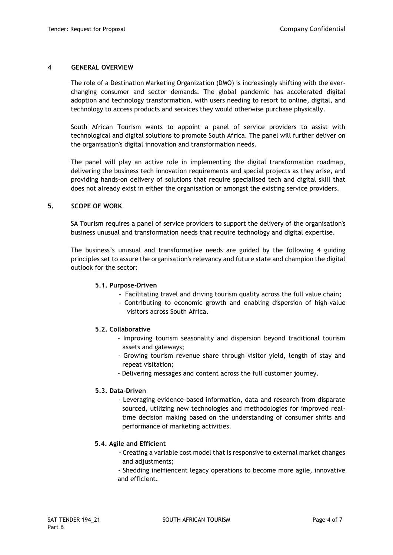#### **4 GENERAL OVERVIEW**

The role of a Destination Marketing Organization (DMO) is increasingly shifting with the everchanging consumer and sector demands. The global pandemic has accelerated digital adoption and technology transformation, with users needing to resort to online, digital, and technology to access products and services they would otherwise purchase physically.

South African Tourism wants to appoint a panel of service providers to assist with technological and digital solutions to promote South Africa. The panel will further deliver on the organisation's digital innovation and transformation needs.

The panel will play an active role in implementing the digital transformation roadmap, delivering the business tech innovation requirements and special projects as they arise, and providing hands-on delivery of solutions that require specialised tech and digital skill that does not already exist in either the organisation or amongst the existing service providers.

#### **5. SCOPE OF WORK**

SA Tourism requires a panel of service providers to support the delivery of the organisation's business unusual and transformation needs that require technology and digital expertise.

The business's unusual and transformative needs are guided by the following 4 guiding principles set to assure the organisation's relevancy and future state and champion the digital outlook for the sector:

#### **5.1. Purpose-Driven**

- Facilitating travel and driving tourism quality across the full value chain;
- Contributing to economic growth and enabling dispersion of high-value visitors across South Africa.

#### **5.2. Collaborative**

- Improving tourism seasonality and dispersion beyond traditional tourism assets and gateways;
- Growing tourism revenue share through visitor yield, length of stay and repeat visitation;
- Delivering messages and content across the full customer journey.

#### **5.3. Data-Driven**

- Leveraging evidence–based information, data and research from disparate sourced, utilizing new technologies and methodologies for improved realtime decision making based on the understanding of consumer shifts and performance of marketing activities.

#### **5.4. Agile and Efficient**

- Creating a variable cost model that is responsive to external market changes and adjustments:

- Shedding ineffiencent legacy operations to become more agile, innovative and efficient.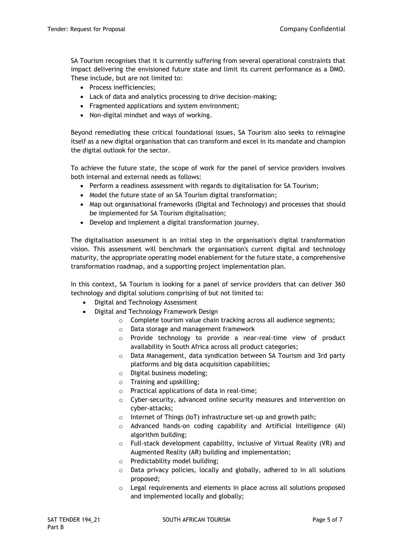SA Tourism recognises that it is currently suffering from several operational constraints that impact delivering the envisioned future state and limit its current performance as a DMO. These include, but are not limited to:

- Process inefficiencies:
- Lack of data and analytics processing to drive decision-making;
- Fragmented applications and system environment;
- Non-digital mindset and ways of working.

Beyond remediating these critical foundational issues, SA Tourism also seeks to reimagine itself as a new digital organisation that can transform and excel in its mandate and champion the digital outlook for the sector.

To achieve the future state, the scope of work for the panel of service providers involves both internal and external needs as follows:

- Perform a readiness assessment with regards to digitalisation for SA Tourism;
- Model the future state of an SA Tourism digital transformation;
- Map out organisational frameworks (Digital and Technology) and processes that should be implemented for SA Tourism digitalisation;
- Develop and implement a digital transformation journey.

The digitalisation assessment is an initial step in the organisation's digital transformation vision. This assessment will benchmark the organisation's current digital and technology maturity, the appropriate operating model enablement for the future state, a comprehensive transformation roadmap, and a supporting project implementation plan.

In this context, SA Tourism is looking for a panel of service providers that can deliver 360 technology and digital solutions comprising of but not limited to:

- Digital and Technology Assessment
- Digital and Technology Framework Design
	- o Complete tourism value chain tracking across all audience segments;
	- o Data storage and management framework
	- o Provide technology to provide a near-real-time view of product availability in South Africa across all product categories;
	- o Data Management, data syndication between SA Tourism and 3rd party platforms and big data acquisition capabilities;
	- o Digital business modeling;
	- o Training and upskilling;
	- o Practical applications of data in real-time;
	- o Cyber-security, advanced online security measures and intervention on cyber-attacks;
	- o Internet of Things (IoT) infrastructure set-up and growth path;
	- o Advanced hands-on coding capability and Artificial Intelligence (AI) algorithm building;
	- o Full-stack development capability, inclusive of Virtual Reality (VR) and Augmented Reality (AR) building and implementation;
	- o Predictability model building;
	- o Data privacy policies, locally and globally, adhered to in all solutions proposed;
	- $\circ$  Legal requirements and elements in place across all solutions proposed and implemented locally and globally;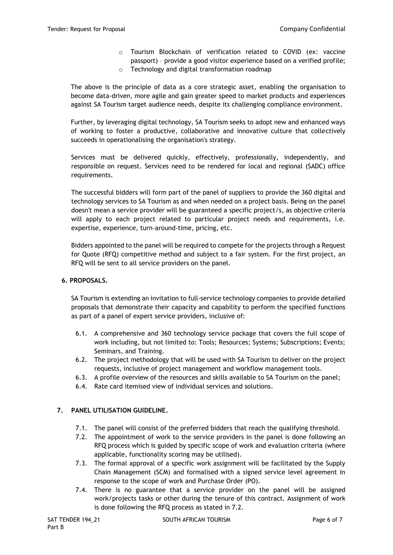o Tourism Blockchain of verification related to COVID (ex: vaccine passport) – provide a good visitor experience based on a verified profile; o Technology and digital transformation roadmap

The above is the principle of data as a core strategic asset, enabling the organisation to become data-driven, more agile and gain greater speed to market products and experiences against SA Tourism target audience needs, despite its challenging compliance environment.

Further, by leveraging digital technology, SA Tourism seeks to adopt new and enhanced ways of working to foster a productive, collaborative and innovative culture that collectively succeeds in operationalising the organisation's strategy.

Services must be delivered quickly, effectively, professionally, independently, and responsible on request. Services need to be rendered for local and regional (SADC) office requirements.

The successful bidders will form part of the panel of suppliers to provide the 360 digital and technology services to SA Tourism as and when needed on a project basis. Being on the panel doesn't mean a service provider will be guaranteed a specific project/s, as objective criteria will apply to each project related to particular project needs and requirements, i.e. expertise, experience, turn-around-time, pricing, etc.

Bidders appointed to the panel will be required to compete for the projects through a Request for Quote (RFQ) competitive method and subject to a fair system. For the first project, an RFQ will be sent to all service providers on the panel.

## **6. PROPOSALS.**

SA Tourism is extending an invitation to full-service technology companies to provide detailed proposals that demonstrate their capacity and capability to perform the specified functions as part of a panel of expert service providers, inclusive of:

- 6.1. A comprehensive and 360 technology service package that covers the full scope of work including, but not limited to: Tools; Resources; Systems; Subscriptions; Events; Seminars, and Training.
- 6.2. The project methodology that will be used with SA Tourism to deliver on the project requests, inclusive of project management and workflow management tools.
- 6.3. A profile overview of the resources and skills available to SA Tourism on the panel;
- 6.4. Rate card itemised view of individual services and solutions.

#### **7. PANEL UTILISATION GUIDELINE.**

- 7.1. The panel will consist of the preferred bidders that reach the qualifying threshold.
- 7.2. The appointment of work to the service providers in the panel is done following an RFQ process which is guided by specific scope of work and evaluation criteria (where applicable, functionality scoring may be utilised).
- 7.3. The formal approval of a specific work assignment will be facilitated by the Supply Chain Management (SCM) and formalised with a signed service level agreement in response to the scope of work and Purchase Order (PO).
- 7.4. There is no guarantee that a service provider on the panel will be assigned work/projects tasks or other during the tenure of this contract. Assignment of work is done following the RFQ process as stated in 7.2.